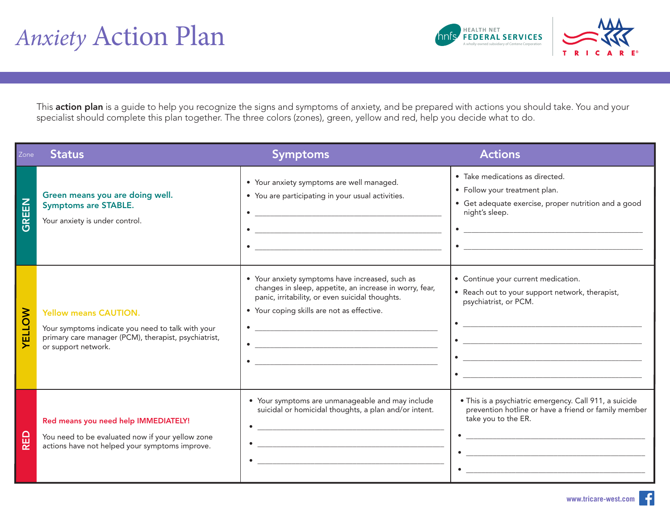

This action plan is a guide to help you recognize the signs and symptoms of anxiety, and be prepared with actions you should take. You and your specialist should complete this plan together. The three colors (zones), green, yellow and red, help you decide what to do.

| Zone         | <b>Status</b>                                                                                                                                                    | <b>Symptoms</b>                                                                                                                                                                                                                                                                                                                                  | <b>Actions</b>                                                                                                                                                                                                                                                                                                                                                                                                                                                                                                                                                                                                                                                                                                                                                                                                                                                                                                                                                                                                     |
|--------------|------------------------------------------------------------------------------------------------------------------------------------------------------------------|--------------------------------------------------------------------------------------------------------------------------------------------------------------------------------------------------------------------------------------------------------------------------------------------------------------------------------------------------|--------------------------------------------------------------------------------------------------------------------------------------------------------------------------------------------------------------------------------------------------------------------------------------------------------------------------------------------------------------------------------------------------------------------------------------------------------------------------------------------------------------------------------------------------------------------------------------------------------------------------------------------------------------------------------------------------------------------------------------------------------------------------------------------------------------------------------------------------------------------------------------------------------------------------------------------------------------------------------------------------------------------|
| <b>GREEN</b> | Green means you are doing well.<br><b>Symptoms are STABLE.</b><br>Your anxiety is under control.                                                                 | • Your anxiety symptoms are well managed.<br>• You are participating in your usual activities.<br><u> 1989 - Johann Harry Harry Harry Harry Harry Harry Harry Harry Harry Harry Harry Harry Harry Harry Harry Harry</u><br><u> 1989 - Johann Harry Harry Harry Harry Harry Harry Harry Harry Harry Harry Harry Harry Harry Harry Harry Harry</u> | · Take medications as directed.<br>• Follow your treatment plan.<br>• Get adequate exercise, proper nutrition and a good<br>night's sleep.<br>$\bullet$ $\overbrace{\phantom{aaaaa}}$<br>$\bullet$                                                                                                                                                                                                                                                                                                                                                                                                                                                                                                                                                                                                                                                                                                                                                                                                                 |
| ELLOW        | <b>Yellow means CAUTION.</b><br>Your symptoms indicate you need to talk with your<br>primary care manager (PCM), therapist, psychiatrist,<br>or support network. | • Your anxiety symptoms have increased, such as<br>changes in sleep, appetite, an increase in worry, fear,<br>panic, irritability, or even suicidal thoughts.<br>• Your coping skills are not as effective.<br>$\bullet$                                                                                                                         | • Continue your current medication.<br>• Reach out to your support network, therapist,<br>psychiatrist, or PCM.<br>$\bullet \quad \underbrace{\quad \quad \bullet \quad \quad \quad \quad \bullet \quad \quad \quad \bullet \quad \quad \quad \bullet \quad \quad \bullet \quad \quad \bullet \quad \quad \bullet \quad \quad \bullet \quad \bullet \quad \bullet \quad \bullet \quad \bullet \quad \bullet \quad \bullet \quad \bullet \quad \bullet \quad \bullet \quad \bullet \quad \bullet \quad \bullet \quad \bullet \quad \bullet \quad \bullet \quad \bullet \quad \bullet \quad \bullet \quad \bullet \quad \bullet \quad \bullet \quad \bullet \quad \bullet \quad \bullet \quad \bullet \quad \bullet \quad \bullet \quad \bullet \quad \bullet \quad \bullet \quad \bullet \quad \bullet \quad \bullet \quad \bullet \quad \bullet \quad \bullet \quad \bullet \quad \bullet \quad \bullet \$<br>$\bullet \underbrace{\hspace{25mm}}$<br><u> 1989 - Johann Barbara, martxa eta idazlea (h. 1989).</u> |
| RED          | Red means you need help IMMEDIATELY!<br>You need to be evaluated now if your yellow zone<br>actions have not helped your symptoms improve.                       | • Your symptoms are unmanageable and may include<br>suicidal or homicidal thoughts, a plan and/or intent.<br><u> 1980 - Jan Barnett, fransk kongresu i skuestin (d. 1980)</u>                                                                                                                                                                    | · This is a psychiatric emergency. Call 911, a suicide<br>prevention hotline or have a friend or family member<br>take you to the ER.<br><u> 1980 - Johann Stoff, deutscher Stoff, der Stoff, der Stoff, der Stoff, der Stoff, der Stoff, der Stoff, der S</u>                                                                                                                                                                                                                                                                                                                                                                                                                                                                                                                                                                                                                                                                                                                                                     |